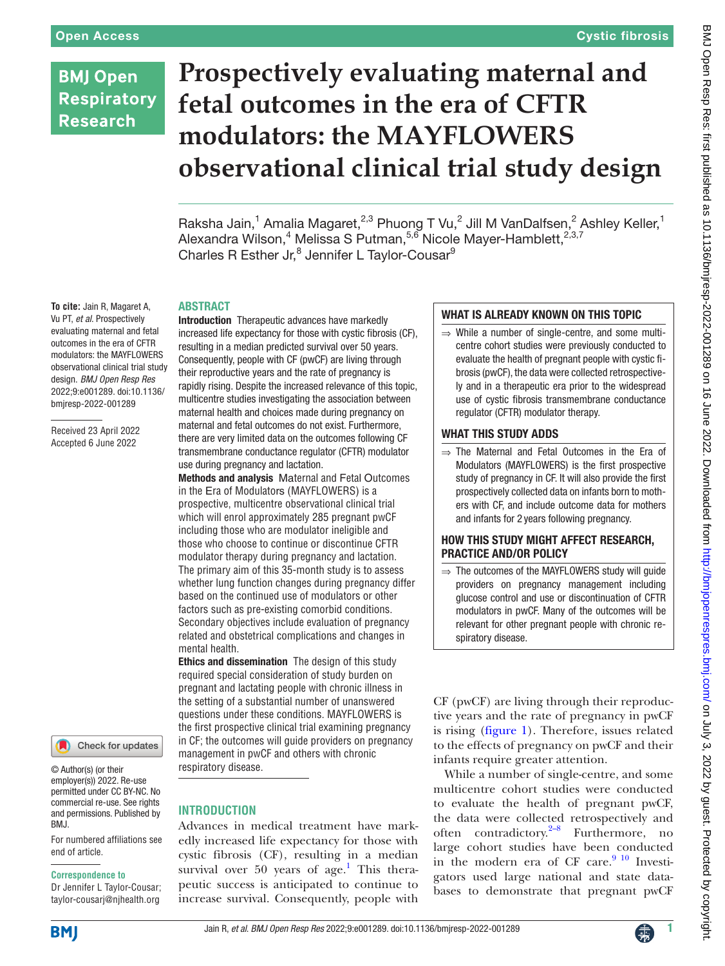# **BMJ Open Respiratory Research**

# **Prospectively evaluating maternal and fetal outcomes in the era of CFTR modulators: the MAYFLOWERS observational clinical trial study design**

Raksha Jain,<sup>1</sup> Amalia Magaret,<sup>2,3</sup> Phuong T Vu,<sup>2</sup> Jill M VanDalfsen,<sup>2</sup> Ashley Keller,<sup>1</sup> Alexandra Wilson,<sup>4</sup> Melissa S Putman,<sup>5,6</sup> Nicole Mayer-Hamblett,<sup>2,3,7</sup> Charles R Esther Jr,<sup>8</sup> Jennifer L Taylor-Cousar<sup>9</sup>

#### ABSTRACT

**To cite:** Jain R, Magaret A, Vu PT, *et al*. Prospectively evaluating maternal and fetal outcomes in the era of CFTR modulators: the MAYFLOWERS observational clinical trial study design. *BMJ Open Resp Res* 2022;9:e001289. doi:10.1136/ bmjresp-2022-001289

Received 23 April 2022 Accepted 6 June 2022



© Author(s) (or their employer(s)) 2022. Re-use permitted under CC BY-NC. No commercial re-use. See rights and permissions. Published by RM<sub>J</sub>

For numbered affiliations see end of article.

#### **Correspondence to**

Dr Jennifer L Taylor-Cousar; taylor-cousarj@njhealth.org Introduction Therapeutic advances have markedly increased life expectancy for those with cystic fibrosis (CF), resulting in a median predicted survival over 50 years. Consequently, people with CF (pwCF) are living through their reproductive years and the rate of pregnancy is rapidly rising. Despite the increased relevance of this topic, multicentre studies investigating the association between maternal health and choices made during pregnancy on maternal and fetal outcomes do not exist. Furthermore, there are very limited data on the outcomes following CF transmembrane conductance regulator (CFTR) modulator use during pregnancy and lactation.

Methods and analysis Maternal and Fetal Outcomes in the Era of Modulators (MAYFLOWERS) is a prospective, multicentre observational clinical trial which will enrol approximately 285 pregnant pwCF including those who are modulator ineligible and those who choose to continue or discontinue CFTR modulator therapy during pregnancy and lactation. The primary aim of this 35-month study is to assess whether lung function changes during pregnancy differ based on the continued use of modulators or other factors such as pre-existing comorbid conditions. Secondary objectives include evaluation of pregnancy related and obstetrical complications and changes in mental health.

Ethics and dissemination The design of this study required special consideration of study burden on pregnant and lactating people with chronic illness in the setting of a substantial number of unanswered questions under these conditions. MAYFLOWERS is the first prospective clinical trial examining pregnancy in CF; the outcomes will guide providers on pregnancy management in pwCF and others with chronic respiratory disease.

# **INTRODUCTION**

Advances in medical treatment have markedly increased life expectancy for those with cystic fibrosis (CF), resulting in a median survival over 50 years of  $age.$ <sup>[1](#page-8-0)</sup> This therapeutic success is anticipated to continue to increase survival. Consequently, people with

# WHAT IS ALREADY KNOWN ON THIS TOPIC

 $\Rightarrow$  While a number of single-centre, and some multicentre cohort studies were previously conducted to evaluate the health of pregnant people with cystic fibrosis (pwCF), the data were collected retrospectively and in a therapeutic era prior to the widespread use of cystic fibrosis transmembrane conductance regulator (CFTR) modulator therapy.

### WHAT THIS STUDY ADDS

⇒ The Maternal and Fetal Outcomes in the Era of Modulators (MAYFLOWERS) is the first prospective study of pregnancy in CF. It will also provide the first prospectively collected data on infants born to mothers with CF, and include outcome data for mothers and infants for 2 years following pregnancy.

### HOW THIS STUDY MIGHT AFFECT RESEARCH, PRACTICE AND/OR POLICY

⇒ The outcomes of the MAYFLOWERS study will guide providers on pregnancy management including glucose control and use or discontinuation of CFTR modulators in pwCF. Many of the outcomes will be relevant for other pregnant people with chronic respiratory disease.

CF (pwCF) are living through their reproductive years and the rate of pregnancy in pwCF is rising ([figure](#page-1-0) 1). Therefore, issues related to the effects of pregnancy on pwCF and their infants require greater attention.

While a number of single-centre, and some multicentre cohort studies were conducted to evaluate the health of pregnant pwCF, the data were collected retrospectively and often contradictory.<sup>2–8</sup> Furthermore, no large cohort studies have been conducted in the modern era of CF care. $9^{10}$  Investigators used large national and state databases to demonstrate that pregnant pwCF

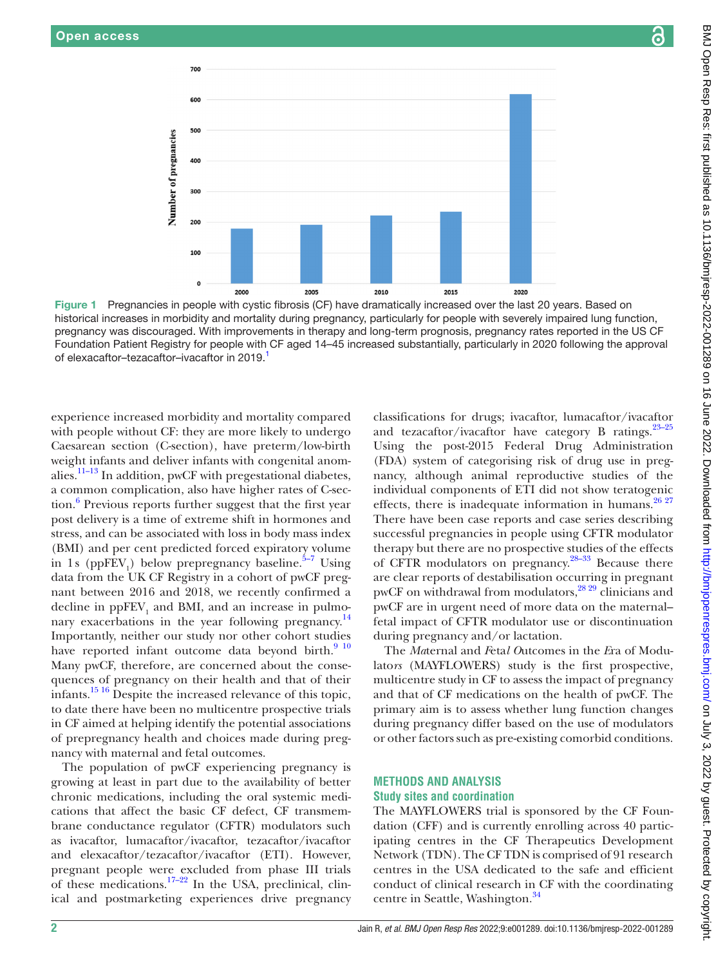700

600

500

400

300

200

100

 $\mathbf{0}$ 

<span id="page-1-0"></span>2000

Number of pregnancies



Figure 1 Pregnancies in people with cystic fibrosis (CF) have dramatically increased over the last 20 years. Based on historical increases in morbidity and mortality during pregnancy, particularly for people with severely impaired lung function, pregnancy was discouraged. With improvements in therapy and long-term prognosis, pregnancy rates reported in the US CF Foundation Patient Registry for people with CF aged 14–45 increased substantially, particularly in 2020 following the approval of elexacaftor–tezacaftor–ivacaftor in 2019.

experience increased morbidity and mortality compared with people without CF: they are more likely to undergo Caesarean section (C-section), have preterm/low-birth weight infants and deliver infants with congenital anomalies.<sup>11-13</sup> In addition, pwCF with pregestational diabetes, a common complication, also have higher rates of C-section.<sup>6</sup> Previous reports further suggest that the first year post delivery is a time of extreme shift in hormones and stress, and can be associated with loss in body mass index (BMI) and per cent predicted forced expiratory volume in 1s ( $ppFEV_1$ ) below prepregnancy baseline.<sup>5-7</sup> Using data from the UK CF Registry in a cohort of pwCF pregnant between 2016 and 2018, we recently confirmed a decline in  $ppFEV_1$  and BMI, and an increase in pulmonary exacerbations in the year following pregnancy.<sup>14</sup> Importantly, neither our study nor other cohort studies have reported infant outcome data beyond birth. $910$ Many pwCF, therefore, are concerned about the consequences of pregnancy on their health and that of their infants.[15 16](#page-8-7) Despite the increased relevance of this topic, to date there have been no multicentre prospective trials in CF aimed at helping identify the potential associations of prepregnancy health and choices made during pregnancy with maternal and fetal outcomes.

The population of pwCF experiencing pregnancy is growing at least in part due to the availability of better chronic medications, including the oral systemic medications that affect the basic CF defect, CF transmembrane conductance regulator (CFTR) modulators such as ivacaftor, lumacaftor/ivacaftor, tezacaftor/ivacaftor and elexacaftor/tezacaftor/ivacaftor (ETI). However, pregnant people were excluded from phase III trials of these medications.<sup>17–22</sup> In the USA, preclinical, clinical and postmarketing experiences drive pregnancy

classifications for drugs; ivacaftor, lumacaftor/ivacaftor and tezacaftor/ivacaftor have category B ratings. $23-25$ Using the post-2015 Federal Drug Administration (FDA) system of categorising risk of drug use in pregnancy, although animal reproductive studies of the individual components of ETI did not show teratogenic effects, there is inadequate information in humans. $26 27$ There have been case reports and case series describing successful pregnancies in people using CFTR modulator therapy but there are no prospective studies of the effects of CFTR modulators on pregnancy.[28–33](#page-8-11) Because there are clear reports of destabilisation occurring in pregnant pwCF on withdrawal from modulators, $28\frac{29}{29}$  clinicians and pwCF are in urgent need of more data on the maternal– fetal impact of CFTR modulator use or discontinuation during pregnancy and/or lactation.

The *Ma*ternal and *F*eta*l O*utcomes in the *E*ra of Modulato*rs* (MAYFLOWERS) study is the first prospective, multicentre study in CF to assess the impact of pregnancy and that of CF medications on the health of pwCF. The primary aim is to assess whether lung function changes during pregnancy differ based on the use of modulators or other factors such as pre-existing comorbid conditions.

# **METHODS AND ANALYSIS Study sites and coordination**

The MAYFLOWERS trial is sponsored by the CF Foundation (CFF) and is currently enrolling across 40 participating centres in the CF Therapeutics Development Network (TDN). The CF TDN is comprised of 91 research centres in the USA dedicated to the safe and efficient conduct of clinical research in CF with the coordinating centre in Seattle, Washington.<sup>[34](#page-9-0)</sup>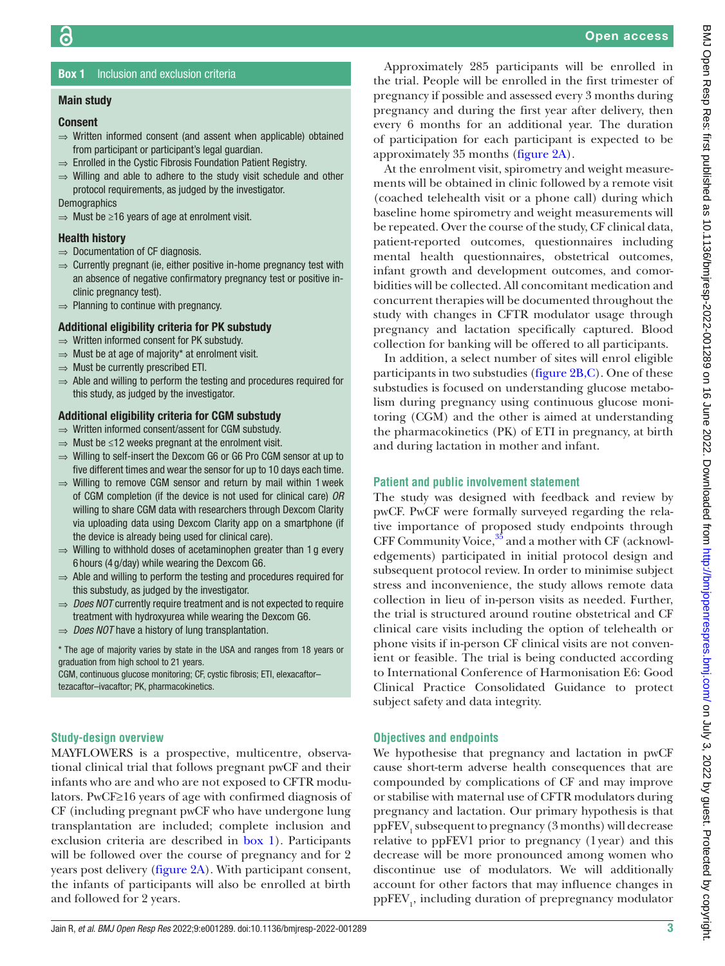# **Box 1** Inclusion and exclusion criteria

#### <span id="page-2-0"></span>Main study

#### Consent

- ⇒ Written informed consent (and assent when applicable) obtained from participant or participant's legal guardian.
- ⇒ Enrolled in the Cystic Fibrosis Foundation Patient Registry.
- $\Rightarrow$  Willing and able to adhere to the study visit schedule and other protocol requirements, as judged by the investigator.

**Demographics** 

 $\Rightarrow$  Must be ≥16 years of age at enrolment visit.

#### Health history

- ⇒ Documentation of CF diagnosis.
- ⇒ Currently pregnant (ie, either positive in-home pregnancy test with an absence of negative confirmatory pregnancy test or positive inclinic pregnancy test).
- $\Rightarrow$  Planning to continue with pregnancy.

# Additional eligibility criteria for PK substudy

- ⇒ Written informed consent for PK substudy.
- $\Rightarrow$  Must be at age of majority\* at enrolment visit.
- $\Rightarrow$  Must be currently prescribed ETI.
- ⇒ Able and willing to perform the testing and procedures required for this study, as judged by the investigator.

# Additional eligibility criteria for CGM substudy

- ⇒ Written informed consent/assent for CGM substudy.
- $\Rightarrow$  Must be ≤12 weeks pregnant at the enrolment visit.
- ⇒ Willing to self-insert the Dexcom G6 or G6 Pro CGM sensor at up to five different times and wear the sensor for up to 10 days each time.
- $\Rightarrow$  Willing to remove CGM sensor and return by mail within 1 week of CGM completion (if the device is not used for clinical care) *OR* willing to share CGM data with researchers through Dexcom Clarity via uploading data using Dexcom Clarity app on a smartphone (if the device is already being used for clinical care).
- $\Rightarrow$  Willing to withhold doses of acetaminophen greater than 1 g every 6 hours (4 g/day) while wearing the Dexcom G6.
- ⇒ Able and willing to perform the testing and procedures required for this substudy, as judged by the investigator.
- ⇒ *Does NOT* currently require treatment and is not expected to require treatment with hydroxyurea while wearing the Dexcom G6.
- ⇒ *Does NOT* have a history of lung transplantation.

\* The age of majority varies by state in the USA and ranges from 18 years or graduation from high school to 21 years.

CGM, continuous glucose monitoring; CF, cystic fibrosis; ETI, elexacaftor– tezacaftor–ivacaftor; PK, pharmacokinetics.

# **Study-design overview**

MAYFLOWERS is a prospective, multicentre, observational clinical trial that follows pregnant pwCF and their infants who are and who are not exposed to CFTR modulators. PwCF≥16 years of age with confirmed diagnosis of CF (including pregnant pwCF who have undergone lung transplantation are included; complete inclusion and exclusion criteria are described in [box](#page-2-0) 1). Participants will be followed over the course of pregnancy and for 2 years post delivery ([figure](#page-3-0) 2A). With participant consent, the infants of participants will also be enrolled at birth and followed for 2 years.

Approximately 285 participants will be enrolled in the trial. People will be enrolled in the first trimester of pregnancy if possible and assessed every 3 months during pregnancy and during the first year after delivery, then every 6 months for an additional year. The duration of participation for each participant is expected to be approximately 35 months [\(figure](#page-3-0) 2A).

At the enrolment visit, spirometry and weight measurements will be obtained in clinic followed by a remote visit (coached telehealth visit or a phone call) during which baseline home spirometry and weight measurements will be repeated. Over the course of the study, CF clinical data, patient-reported outcomes, questionnaires including mental health questionnaires, obstetrical outcomes, infant growth and development outcomes, and comorbidities will be collected. All concomitant medication and concurrent therapies will be documented throughout the study with changes in CFTR modulator usage through pregnancy and lactation specifically captured. Blood collection for banking will be offered to all participants.

In addition, a select number of sites will enrol eligible participants in two substudies ([figure](#page-3-0) 2B,C). One of these substudies is focused on understanding glucose metabolism during pregnancy using continuous glucose monitoring (CGM) and the other is aimed at understanding the pharmacokinetics (PK) of ETI in pregnancy, at birth and during lactation in mother and infant.

# **Patient and public involvement statement**

The study was designed with feedback and review by pwCF. PwCF were formally surveyed regarding the relative importance of proposed study endpoints through CFF Community Voice, $35$  and a mother with CF (acknowledgements) participated in initial protocol design and subsequent protocol review. In order to minimise subject stress and inconvenience, the study allows remote data collection in lieu of in-person visits as needed. Further, the trial is structured around routine obstetrical and CF clinical care visits including the option of telehealth or phone visits if in-person CF clinical visits are not convenient or feasible. The trial is being conducted according to International Conference of Harmonisation E6: Good Clinical Practice Consolidated Guidance to protect subject safety and data integrity.

# **Objectives and endpoints**

We hypothesise that pregnancy and lactation in pwCF cause short-term adverse health consequences that are compounded by complications of CF and may improve or stabilise with maternal use of CFTR modulators during pregnancy and lactation. Our primary hypothesis is that ppFEV<sub>1</sub> subsequent to pregnancy (3 months) will decrease relative to ppFEV1 prior to pregnancy (1year) and this decrease will be more pronounced among women who discontinue use of modulators. We will additionally account for other factors that may influence changes in  $\mathrm{ppFEV}_{1}$  including duration of prepregnancy modulator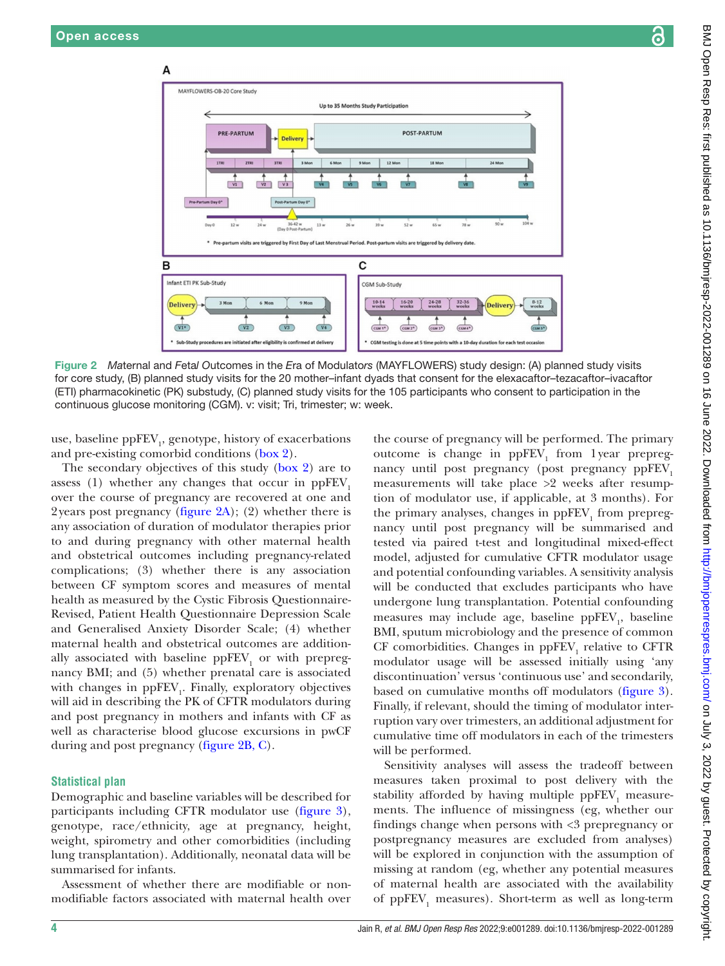A

B

Infant ETI PK Sub-Stud

*Delivery* 

 $\overline{V1*}$ 



use, baseline  $\mathrm{ppFEV}_1$ , genotype, history of exacerbations and pre-existing comorbid conditions ([box](#page-4-0) 2).

n Day 0\*

<span id="page-3-0"></span>3 Mor

The secondary objectives of this study ([box](#page-4-0) 2) are to assess  $(1)$  whether any changes that occur in ppFEV. over the course of pregnancy are recovered at one and 2years post pregnancy [\(figure](#page-3-0) 2A); (2) whether there is any association of duration of modulator therapies prior to and during pregnancy with other maternal health and obstetrical outcomes including pregnancy-related complications; (3) whether there is any association between CF symptom scores and measures of mental health as measured by the Cystic Fibrosis Questionnaire-Revised, Patient Health Questionnaire Depression Scale and Generalised Anxiety Disorder Scale; (4) whether maternal health and obstetrical outcomes are additionally associated with baseline  $ppFEV<sub>1</sub>$  or with prepregnancy BMI; and (5) whether prenatal care is associated with changes in  $ppFEV<sub>1</sub>$ . Finally, exploratory objectives will aid in describing the PK of CFTR modulators during and post pregnancy in mothers and infants with CF as well as characterise blood glucose excursions in pwCF during and post pregnancy ([figure](#page-3-0) 2B, C).

# **Statistical plan**

Demographic and baseline variables will be described for participants including CFTR modulator use [\(figure](#page-5-0) 3), genotype, race/ethnicity, age at pregnancy, height, weight, spirometry and other comorbidities (including lung transplantation). Additionally, neonatal data will be summarised for infants.

Assessment of whether there are modifiable or nonmodifiable factors associated with maternal health over

the course of pregnancy will be performed. The primary outcome is change in  $ppFEV<sub>1</sub>$  from 1year prepregnancy until post pregnancy (post pregnancy ppFEV<sub>1</sub> measurements will take place >2 weeks after resumption of modulator use, if applicable, at 3 months). For the primary analyses, changes in  $\mathrm{ppFEV}_1$  from prepregnancy until post pregnancy will be summarised and tested via paired t-test and longitudinal mixed-effect model, adjusted for cumulative CFTR modulator usage and potential confounding variables. A sensitivity analysis will be conducted that excludes participants who have undergone lung transplantation. Potential confounding measures may include age, baseline  $\mathrm{ppFEV}_1$ , baseline BMI, sputum microbiology and the presence of common CF comorbidities. Changes in  $ppFEV<sub>1</sub>$  relative to CFTR modulator usage will be assessed initially using 'any discontinuation' versus 'continuous use' and secondarily, based on cumulative months off modulators ([figure](#page-5-0) 3). Finally, if relevant, should the timing of modulator interruption vary over trimesters, an additional adjustment for cumulative time off modulators in each of the trimesters will be performed.

Sensitivity analyses will assess the tradeoff between measures taken proximal to post delivery with the stability afforded by having multiple  $\mathrm{ppFEV}_1$  measurements. The influence of missingness (eg, whether our findings change when persons with <3 prepregnancy or postpregnancy measures are excluded from analyses) will be explored in conjunction with the assumption of missing at random (eg, whether any potential measures of maternal health are associated with the availability of  $\mathrm{ppFEV}_1$  measures). Short-term as well as long-term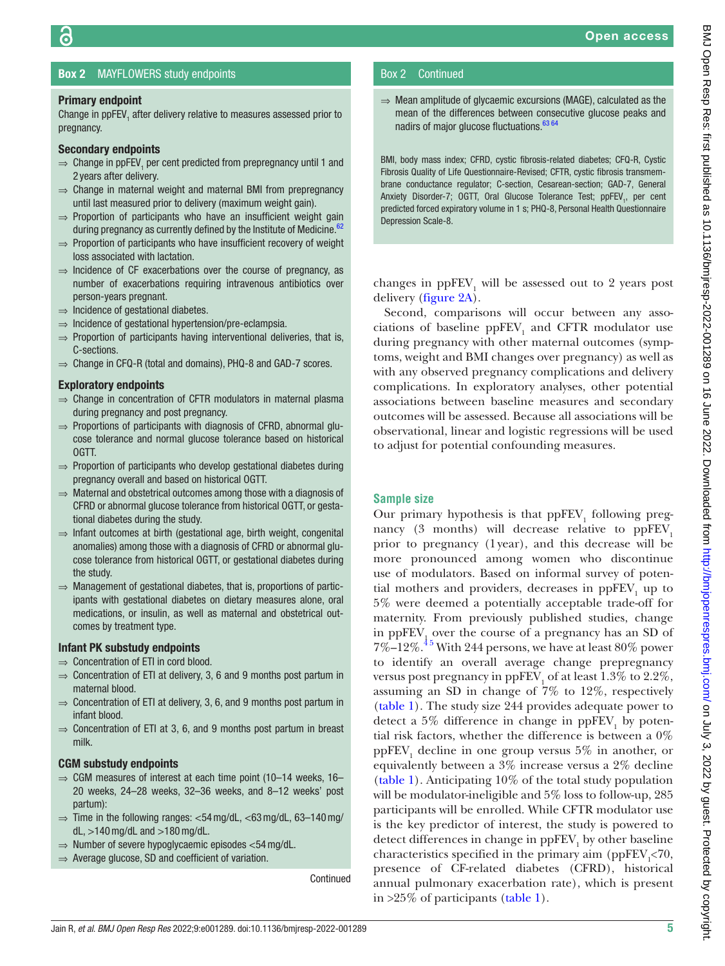# Box 2 MAYFLOWERS study endpoints

#### <span id="page-4-0"></span>Primary endpoint

ခြ

Change in  $ppFEV<sub>1</sub>$  after delivery relative to measures assessed prior to pregnancy.

#### Secondary endpoints

- $\Rightarrow$  Change in ppFEV<sub>1</sub> per cent predicted from prepregnancy until 1 and 2 years after delivery.
- $\Rightarrow$  Change in maternal weight and maternal BMI from prepregnancy until last measured prior to delivery (maximum weight gain).
- $\Rightarrow$  Proportion of participants who have an insufficient weight gain during pregnancy as currently defined by the Institute of Medicine.<sup>[62](#page-9-2)</sup>
- $\Rightarrow$  Proportion of participants who have insufficient recovery of weight loss associated with lactation.
- $\Rightarrow$  Incidence of CF exacerbations over the course of pregnancy, as number of exacerbations requiring intravenous antibiotics over person-years pregnant.
- ⇒ Incidence of gestational diabetes.
- ⇒ Incidence of gestational hypertension/pre-eclampsia.
- $\Rightarrow$  Proportion of participants having interventional deliveries, that is, C-sections.
- ⇒ Change in CFQ-R (total and domains), PHQ-8 and GAD-7 scores.

#### Exploratory endpoints

- ⇒ Change in concentration of CFTR modulators in maternal plasma during pregnancy and post pregnancy.
- ⇒ Proportions of participants with diagnosis of CFRD, abnormal glucose tolerance and normal glucose tolerance based on historical OGTT.
- ⇒ Proportion of participants who develop gestational diabetes during pregnancy overall and based on historical OGTT.
- ⇒ Maternal and obstetrical outcomes among those with a diagnosis of CFRD or abnormal glucose tolerance from historical OGTT, or gestational diabetes during the study.
- ⇒ Infant outcomes at birth (gestational age, birth weight, congenital anomalies) among those with a diagnosis of CFRD or abnormal glucose tolerance from historical OGTT, or gestational diabetes during the study.
- $\Rightarrow$  Management of gestational diabetes, that is, proportions of participants with gestational diabetes on dietary measures alone, oral medications, or insulin, as well as maternal and obstetrical outcomes by treatment type.

# Infant PK substudy endpoints

- ⇒ Concentration of ETI in cord blood.
- $\Rightarrow$  Concentration of ETI at delivery, 3, 6 and 9 months post partum in maternal blood.
- $\Rightarrow$  Concentration of ETI at delivery, 3, 6, and 9 months post partum in infant blood.
- $\Rightarrow$  Concentration of ETI at 3, 6, and 9 months post partum in breast milk.

#### CGM substudy endpoints

- $\Rightarrow$  CGM measures of interest at each time point (10–14 weeks, 16– 20 weeks, 24–28 weeks, 32–36 weeks, and 8–12 weeks' post partum):
- $\Rightarrow$  Time in the following ranges:  $<$ 54 mg/dL,  $<$ 63 mg/dL, 63–140 mg/ dL,  $>140$  mg/dL and  $>180$  mg/dL.
- ⇒ Number of severe hypoglycaemic episodes <54mg/dL.
- $\Rightarrow$  Average glucose, SD and coefficient of variation.

Continued

# Box 2 Continued

⇒ Mean amplitude of glycaemic excursions (MAGE), calculated as the mean of the differences between consecutive glucose peaks and nadirs of major glucose fluctuations.<sup>[63 64](#page-9-3)</sup>

BMI, body mass index; CFRD, cystic fibrosis-related diabetes; CFQ-R, Cystic Fibrosis Quality of Life Questionnaire-Revised; CFTR, cystic fibrosis transmembrane conductance regulator; C-section, Cesarean-section; GAD-7, General Anxiety Disorder-7; OGTT, Oral Glucose Tolerance Test; ppFEV<sub>1</sub>, per cent predicted forced expiratory volume in 1 s; PHQ-8, Personal Health Questionnaire Depression Scale-8.

changes in  $ppFEV<sub>1</sub>$  will be assessed out to 2 years post delivery ([figure](#page-3-0) 2A).

Second, comparisons will occur between any associations of baseline  $ppFEV<sub>1</sub>$  and CFTR modulator use during pregnancy with other maternal outcomes (symptoms, weight and BMI changes over pregnancy) as well as with any observed pregnancy complications and delivery complications. In exploratory analyses, other potential associations between baseline measures and secondary outcomes will be assessed. Because all associations will be observational, linear and logistic regressions will be used to adjust for potential confounding measures.

# **Sample size**

Our primary hypothesis is that  $ppFEV<sub>1</sub>$  following pregnancy  $(3 \text{ months})$  will decrease relative to ppFEV<sub>1</sub> prior to pregnancy (1year), and this decrease will be more pronounced among women who discontinue use of modulators. Based on informal survey of potential mothers and providers, decreases in  $ppFEV<sub>1</sub>$  up to 5% were deemed a potentially acceptable trade-off for maternity. From previously published studies, change in  $ppFEV_1$  over the course of a pregnancy has an SD of  $7\%$ – $12\%$ .<sup>45</sup> With 244 persons, we have at least 80% power to identify an overall average change prepregnancy versus post pregnancy in  $\mathrm{ppFEV}_1$  of at least 1.3% to 2.2%, assuming an SD in change of 7% to 12%, respectively [\(table](#page-5-1) 1). The study size 244 provides adequate power to detect a 5% difference in change in  $ppFEV<sub>1</sub>$  by potential risk factors, whether the difference is between a 0%  $ppFEV<sub>1</sub>$  decline in one group versus 5% in another, or equivalently between a 3% increase versus a 2% decline [\(table](#page-5-1) 1). Anticipating 10% of the total study population will be modulator-ineligible and 5% loss to follow-up, 285 participants will be enrolled. While CFTR modulator use is the key predictor of interest, the study is powered to detect differences in change in  $\mathrm{ppFEV}_1$  by other baseline characteristics specified in the primary aim (ppFEV<sub>1</sub><70, presence of CF-related diabetes (CFRD), historical annual pulmonary exacerbation rate), which is present in >25% of participants [\(table](#page-5-1) 1).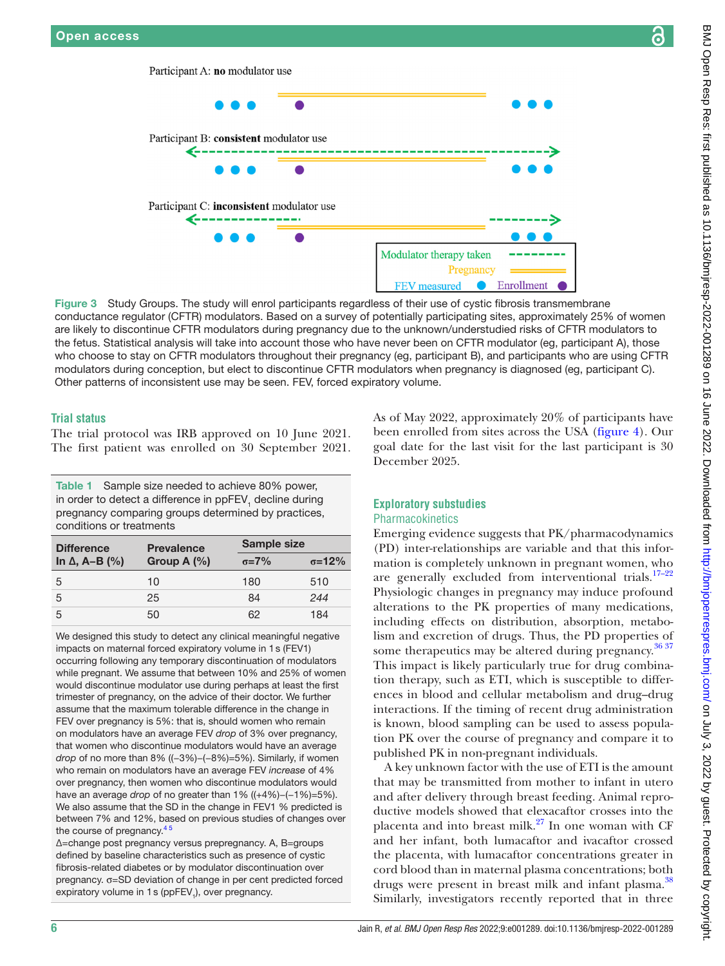

Figure 3 Study Groups. The study will enrol participants regardless of their use of cystic fibrosis transmembrane conductance regulator (CFTR) modulators. Based on a survey of potentially participating sites, approximately 25% of women are likely to discontinue CFTR modulators during pregnancy due to the unknown/understudied risks of CFTR modulators to the fetus. Statistical analysis will take into account those who have never been on CFTR modulator (eg, participant A), those who choose to stay on CFTR modulators throughout their pregnancy (eg, participant B), and participants who are using CFTR modulators during conception, but elect to discontinue CFTR modulators when pregnancy is diagnosed (eg, participant C). Other patterns of inconsistent use may be seen. FEV, forced expiratory volume.

#### **Trial status**

The trial protocol was IRB approved on 10 June 2021. The first patient was enrolled on 30 September 2021.

Participant A: no modulator use

€-

<span id="page-5-0"></span>←

Participant B: consistent modulator use

Participant C: inconsistent modulator use

<span id="page-5-1"></span>Table 1 Sample size needed to achieve 80% power, in order to detect a difference in ppFEV<sub>1</sub> decline during pregnancy comparing groups determined by practices, conditions or treatments

| <b>Difference</b><br>In $\Delta$ , A–B (%) | <b>Prevalence</b><br>Group $A(\%)$ | <b>Sample size</b> |                 |
|--------------------------------------------|------------------------------------|--------------------|-----------------|
|                                            |                                    | $\sigma = 7\%$     | $\sigma = 12\%$ |
| .5                                         | 10                                 | 180                | 510             |
| 5                                          | 25                                 | 84                 | 244             |
| 5                                          | 50                                 | 62                 | 184             |

We designed this study to detect any clinical meaningful negative impacts on maternal forced expiratory volume in 1s (FEV1) occurring following any temporary discontinuation of modulators while pregnant. We assume that between 10% and 25% of women would discontinue modulator use during perhaps at least the first trimester of pregnancy, on the advice of their doctor. We further assume that the maximum tolerable difference in the change in FEV over pregnancy is 5%: that is, should women who remain on modulators have an average FEV *drop* of 3% over pregnancy, that women who discontinue modulators would have an average *drop* of no more than 8% ((-3%)–(-8%)=5%). Similarly, if women who remain on modulators have an average FEV *increase* of 4% over pregnancy, then women who discontinue modulators would have an average *drop* of no greater than 1% ((+4%)−(−1%)=5%). We also assume that the SD in the change in FEV1 % predicted is between 7% and 12%, based on previous studies of changes over the course of pregnancy.<sup>4</sup>

Δ=change post pregnancy versus prepregnancy. A, B=groups defined by baseline characteristics such as presence of cystic fibrosis-related diabetes or by modulator discontinuation over pregnancy. σ=SD deviation of change in per cent predicted forced expiratory volume in 1 s (ppFEV<sub>1</sub>), over pregnancy.

Emerging evidence suggests that PK/pharmacodynamics (PD) inter-relationships are variable and that this information is completely unknown in pregnant women, who are generally excluded from interventional trials. $17-22$ Physiologic changes in pregnancy may induce profound alterations to the PK properties of many medications, including effects on distribution, absorption, metabolism and excretion of drugs. Thus, the PD properties of some therapeutics may be altered during pregnancy.<sup>[36 37](#page-9-4)</sup> This impact is likely particularly true for drug combination therapy, such as ETI, which is susceptible to differences in blood and cellular metabolism and drug–drug interactions. If the timing of recent drug administration is known, blood sampling can be used to assess population PK over the course of pregnancy and compare it to published PK in non-pregnant individuals.

A key unknown factor with the use of ETI is the amount that may be transmitted from mother to infant in utero and after delivery through breast feeding. Animal reproductive models showed that elexacaftor crosses into the placenta and into breast milk. $^{27}$  $^{27}$  $^{27}$  In one woman with CF and her infant, both lumacaftor and ivacaftor crossed the placenta, with lumacaftor concentrations greater in cord blood than in maternal plasma concentrations; both drugs were present in breast milk and infant plasma.<sup>[38](#page-9-5)</sup> Similarly, investigators recently reported that in three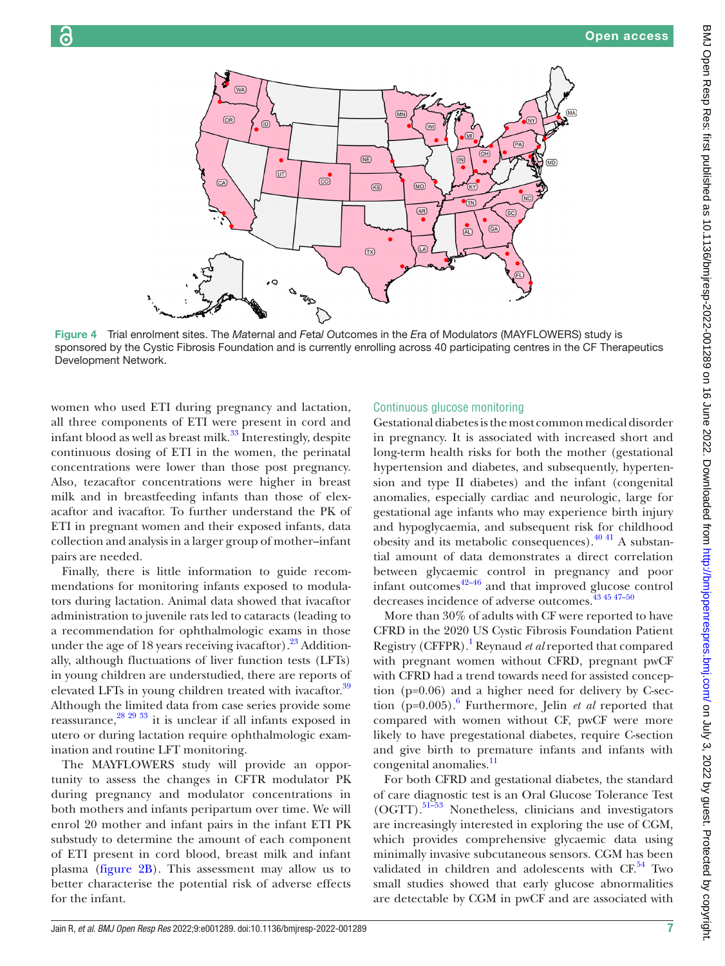

Figure 4 Trial enrolment sites. The *Ma*ternal and *F*eta*l O*utcomes in the *E*ra of Modulato*rs* (MAYFLOWERS) study is sponsored by the Cystic Fibrosis Foundation and is currently enrolling across 40 participating centres in the CF Therapeutics Development Network.

women who used ETI during pregnancy and lactation, all three components of ETI were present in cord and infant blood as well as breast milk.<sup>[33](#page-9-6)</sup> Interestingly, despite continuous dosing of ETI in the women, the perinatal concentrations were lower than those post pregnancy. Also, tezacaftor concentrations were higher in breast milk and in breastfeeding infants than those of elexacaftor and ivacaftor. To further understand the PK of ETI in pregnant women and their exposed infants, data collection and analysis in a larger group of mother–infant pairs are needed.

Finally, there is little information to guide recommendations for monitoring infants exposed to modulators during lactation. Animal data showed that ivacaftor administration to juvenile rats led to cataracts (leading to a recommendation for ophthalmologic exams in those under the age of 18 years receiving ivacaftor).  $23$  Additionally, although fluctuations of liver function tests (LFTs) in young children are understudied, there are reports of elevated LFTs in young children treated with ivacaftor.<sup>39</sup> Although the limited data from case series provide some reassurance,[28 29 33](#page-8-11) it is unclear if all infants exposed in utero or during lactation require ophthalmologic examination and routine LFT monitoring.

The MAYFLOWERS study will provide an opportunity to assess the changes in CFTR modulator PK during pregnancy and modulator concentrations in both mothers and infants peripartum over time. We will enrol 20 mother and infant pairs in the infant ETI PK substudy to determine the amount of each component of ETI present in cord blood, breast milk and infant plasma [\(figure](#page-3-0) 2B). This assessment may allow us to better characterise the potential risk of adverse effects for the infant.

#### <span id="page-6-0"></span>Continuous glucose monitoring

Gestational diabetes is the most common medical disorder in pregnancy. It is associated with increased short and long-term health risks for both the mother (gestational hypertension and diabetes, and subsequently, hypertension and type II diabetes) and the infant (congenital anomalies, especially cardiac and neurologic, large for gestational age infants who may experience birth injury and hypoglycaemia, and subsequent risk for childhood obesity and its metabolic consequences). $^{40}$  41 A substantial amount of data demonstrates a direct correlation between glycaemic control in pregnancy and poor infant outcomes $\frac{42-46}{ }$  and that improved glucose control decreases incidence of adverse outcomes[.43 45 47–50](#page-9-10)

More than 30% of adults with CF were reported to have CFRD in the 2020 US Cystic Fibrosis Foundation Patient Registry (CFFPR).<sup>1</sup> Reynaud *et al* reported that compared with pregnant women without CFRD, pregnant pwCF with CFRD had a trend towards need for assisted conception (p=0.06) and a higher need for delivery by C-section (p=0.005).[6](#page-8-4) Furthermore, Jelin *et al* reported that compared with women without CF, pwCF were more likely to have pregestational diabetes, require C-section and give birth to premature infants and infants with congenital anomalies.<sup>[11](#page-8-3)</sup>

For both CFRD and gestational diabetes, the standard of care diagnostic test is an Oral Glucose Tolerance Test  $(OGTT)$ .<sup>51–53</sup> Nonetheless, clinicians and investigators are increasingly interested in exploring the use of CGM, which provides comprehensive glycaemic data using minimally invasive subcutaneous sensors. CGM has been validated in children and adolescents with  $CF<sup>54</sup>$  Two small studies showed that early glucose abnormalities are detectable by CGM in pwCF and are associated with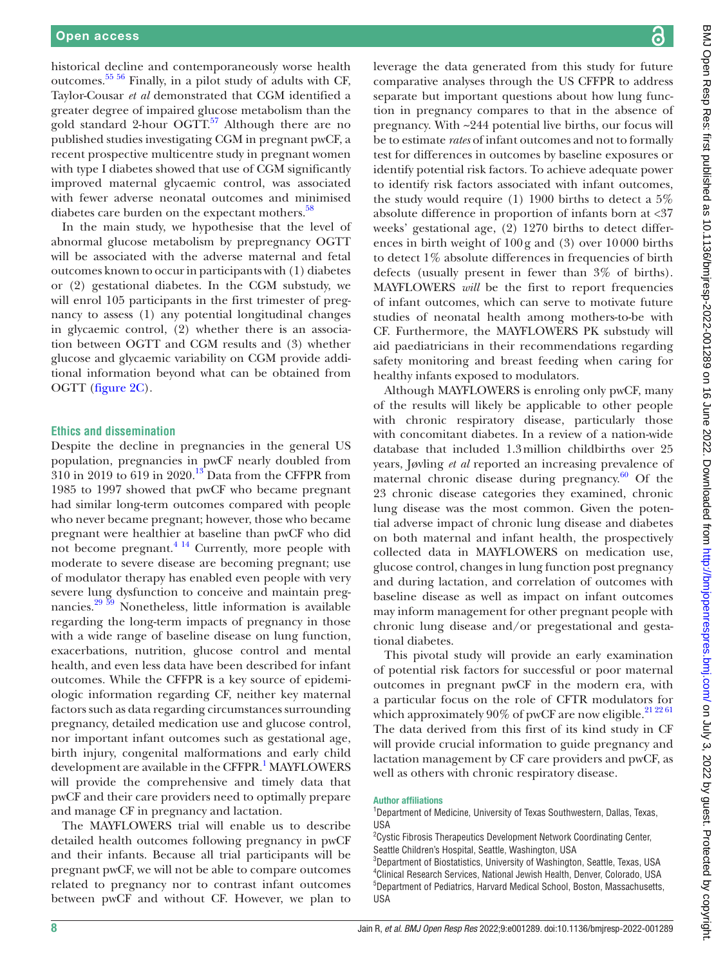historical decline and contemporaneously worse health outcomes.[55 56](#page-9-13) Finally, in a pilot study of adults with CF, Taylor-Cousar *et al* demonstrated that CGM identified a greater degree of impaired glucose metabolism than the gold standard 2-hour OGTT.<sup>57</sup> Although there are no published studies investigating CGM in pregnant pwCF, a recent prospective multicentre study in pregnant women with type I diabetes showed that use of CGM significantly improved maternal glycaemic control, was associated with fewer adverse neonatal outcomes and minimised diabetes care burden on the expectant mothers.<sup>58</sup>

In the main study, we hypothesise that the level of abnormal glucose metabolism by prepregnancy OGTT will be associated with the adverse maternal and fetal outcomes known to occur in participants with (1) diabetes or (2) gestational diabetes. In the CGM substudy, we will enrol 105 participants in the first trimester of pregnancy to assess (1) any potential longitudinal changes in glycaemic control, (2) whether there is an association between OGTT and CGM results and (3) whether glucose and glycaemic variability on CGM provide additional information beyond what can be obtained from OGTT ([figure](#page-3-0) 2C).

#### **Ethics and dissemination**

Despite the decline in pregnancies in the general US population, pregnancies in pwCF nearly doubled from  $310$  in 2019 to 619 in 2020.<sup>[13](#page-8-14)</sup> Data from the CFFPR from 1985 to 1997 showed that pwCF who became pregnant had similar long-term outcomes compared with people who never became pregnant; however, those who became pregnant were healthier at baseline than pwCF who did not become pregnant.<sup>4 14</sup> Currently, more people with moderate to severe disease are becoming pregnant; use of modulator therapy has enabled even people with very severe lung dysfunction to conceive and maintain pregnancies.[29 59](#page-8-15) Nonetheless, little information is available regarding the long-term impacts of pregnancy in those with a wide range of baseline disease on lung function, exacerbations, nutrition, glucose control and mental health, and even less data have been described for infant outcomes. While the CFFPR is a key source of epidemiologic information regarding CF, neither key maternal factors such as data regarding circumstances surrounding pregnancy, detailed medication use and glucose control, nor important infant outcomes such as gestational age, birth injury, congenital malformations and early child development are available in the CFFPR.<sup>[1](#page-8-0)</sup> MAYFLOWERS will provide the comprehensive and timely data that pwCF and their care providers need to optimally prepare and manage CF in pregnancy and lactation.

The MAYFLOWERS trial will enable us to describe detailed health outcomes following pregnancy in pwCF and their infants. Because all trial participants will be pregnant pwCF, we will not be able to compare outcomes related to pregnancy nor to contrast infant outcomes between pwCF and without CF. However, we plan to

leverage the data generated from this study for future comparative analyses through the US CFFPR to address separate but important questions about how lung function in pregnancy compares to that in the absence of pregnancy. With ~244 potential live births, our focus will be to estimate *rates* of infant outcomes and not to formally test for differences in outcomes by baseline exposures or identify potential risk factors. To achieve adequate power to identify risk factors associated with infant outcomes, the study would require (1) 1900 births to detect a 5% absolute difference in proportion of infants born at <37 weeks' gestational age, (2) 1270 births to detect differences in birth weight of 100g and (3) over 10000 births to detect 1% absolute differences in frequencies of birth defects (usually present in fewer than 3% of births). MAYFLOWERS *will* be the first to report frequencies of infant outcomes, which can serve to motivate future studies of neonatal health among mothers-to-be with CF. Furthermore, the MAYFLOWERS PK substudy will aid paediatricians in their recommendations regarding safety monitoring and breast feeding when caring for healthy infants exposed to modulators.

Although MAYFLOWERS is enroling only pwCF, many of the results will likely be applicable to other people with chronic respiratory disease, particularly those with concomitant diabetes. In a review of a nation-wide database that included 1.3million childbirths over 25 years, Jøvling *et al* reported an increasing prevalence of maternal chronic disease during pregnancy. $60$  Of the 23 chronic disease categories they examined, chronic lung disease was the most common. Given the potential adverse impact of chronic lung disease and diabetes on both maternal and infant health, the prospectively collected data in MAYFLOWERS on medication use, glucose control, changes in lung function post pregnancy and during lactation, and correlation of outcomes with baseline disease as well as impact on infant outcomes may inform management for other pregnant people with chronic lung disease and/or pregestational and gestational diabetes.

This pivotal study will provide an early examination of potential risk factors for successful or poor maternal outcomes in pregnant pwCF in the modern era, with a particular focus on the role of CFTR modulators for which approximately  $90\%$  of pwCF are now eligible.<sup>[21 22 61](#page-8-16)</sup> The data derived from this first of its kind study in CF will provide crucial information to guide pregnancy and lactation management by CF care providers and pwCF, as well as others with chronic respiratory disease.

#### Author affiliations

<sup>1</sup>Department of Medicine, University of Texas Southwestern, Dallas, Texas, USA

<sup>2</sup> Cystic Fibrosis Therapeutics Development Network Coordinating Center, Seattle Children's Hospital, Seattle, Washington, USA

 Department of Biostatistics, University of Washington, Seattle, Texas, USA Clinical Research Services, National Jewish Health, Denver, Colorado, USA Department of Pediatrics, Harvard Medical School, Boston, Massachusetts, USA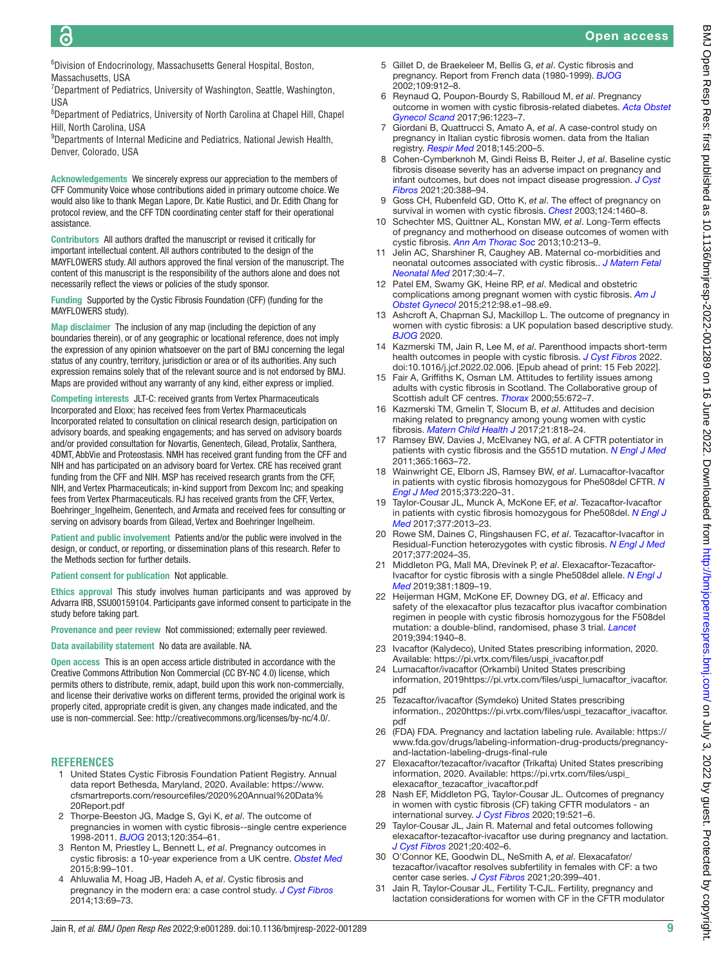6 Division of Endocrinology, Massachusetts General Hospital, Boston, Massachusetts, USA

<sup>7</sup>Department of Pediatrics, University of Washington, Seattle, Washington, USA

<sup>8</sup>Department of Pediatrics, University of North Carolina at Chapel Hill, Chapel Hill, North Carolina, USA

<sup>9</sup>Departments of Internal Medicine and Pediatrics, National Jewish Health, Denver, Colorado, USA

Acknowledgements We sincerely express our appreciation to the members of CFF Community Voice whose contributions aided in primary outcome choice. We would also like to thank Megan Lapore, Dr. Katie Rustici, and Dr. Edith Chang for protocol review, and the CFF TDN coordinating center staff for their operational assistance.

Contributors All authors drafted the manuscript or revised it critically for important intellectual content. All authors contributed to the design of the MAYFLOWERS study. All authors approved the final version of the manuscript. The content of this manuscript is the responsibility of the authors alone and does not necessarily reflect the views or policies of the study sponsor.

Funding Supported by the Cystic Fibrosis Foundation (CFF) (funding for the MAYFLOWERS study).

Map disclaimer The inclusion of any map (including the depiction of any boundaries therein), or of any geographic or locational reference, does not imply the expression of any opinion whatsoever on the part of BMJ concerning the legal status of any country, territory, jurisdiction or area or of its authorities. Any such expression remains solely that of the relevant source and is not endorsed by BMJ. Maps are provided without any warranty of any kind, either express or implied.

Competing interests JLT-C: received grants from Vertex Pharmaceuticals Incorporated and Eloxx; has received fees from Vertex Pharmaceuticals Incorporated related to consultation on clinical research design, participation on advisory boards, and speaking engagements; and has served on advisory boards and/or provided consultation for Novartis, Genentech, Gilead, Protalix, Santhera, 4DMT, AbbVie and Proteostasis. NMH has received grant funding from the CFF and NIH and has participated on an advisory board for Vertex. CRE has received grant funding from the CFF and NIH. MSP has received research grants from the CFF, NIH, and Vertex Pharmaceuticals; in-kind support from Dexcom Inc; and speaking fees from Vertex Pharmaceuticals. RJ has received grants from the CFF, Vertex, Boehringer\_Ingelheim, Genentech, and Armata and received fees for consulting or serving on advisory boards from Gilead, Vertex and Boehringer Ingelheim.

Patient and public involvement Patients and/or the public were involved in the design, or conduct, or reporting, or dissemination plans of this research. Refer to the Methods section for further details.

Patient consent for publication Not applicable.

Ethics approval This study involves human participants and was approved by Advarra IRB, SSU00159104. Participants gave informed consent to participate in the study before taking part.

Provenance and peer review Not commissioned; externally peer reviewed.

Data availability statement No data are available. NA.

Open access This is an open access article distributed in accordance with the Creative Commons Attribution Non Commercial (CC BY-NC 4.0) license, which permits others to distribute, remix, adapt, build upon this work non-commercially, and license their derivative works on different terms, provided the original work is properly cited, appropriate credit is given, any changes made indicated, and the use is non-commercial. See:<http://creativecommons.org/licenses/by-nc/4.0/>.

#### **REFERENCES**

- <span id="page-8-0"></span>1 United States Cystic Fibrosis Foundation Patient Registry. Annual data report Bethesda, Maryland, 2020. Available: [https://www.](https://www.cfsmartreports.com/resourcefiles/2020%20Annual%20Data%20Report.pdf) [cfsmartreports.com/resourcefiles/2020%20Annual%20Data%](https://www.cfsmartreports.com/resourcefiles/2020%20Annual%20Data%20Report.pdf) [20Report.pdf](https://www.cfsmartreports.com/resourcefiles/2020%20Annual%20Data%20Report.pdf)
- <span id="page-8-1"></span>2 Thorpe-Beeston JG, Madge S, Gyi K, *et al*. The outcome of pregnancies in women with cystic fibrosis--single centre experience 1998-2011. *[BJOG](http://dx.doi.org/10.1111/1471-0528.12040)* 2013;120:354–61.
- 3 Renton M, Priestley L, Bennett L, *et al*. Pregnancy outcomes in cystic fibrosis: a 10-year experience from a UK centre. *[Obstet Med](http://dx.doi.org/10.1177/1753495X15575628)* 2015;8:99–101.
- <span id="page-8-12"></span>4 Ahluwalia M, Hoag JB, Hadeh A, *et al*. Cystic fibrosis and pregnancy in the modern era: a case control study. *[J Cyst Fibros](http://dx.doi.org/10.1016/j.jcf.2013.08.004)* 2014;13:69–73.
- <span id="page-8-5"></span>5 Gillet D, de Braekeleer M, Bellis G, *et al*. Cystic fibrosis and pregnancy. Report from French data (1980-1999). *[BJOG](http://dx.doi.org/10.1111/j.1471-0528.2002.01511.x)* 2002;109:912–8.
- <span id="page-8-4"></span>6 Reynaud Q, Poupon-Bourdy S, Rabilloud M, *et al*. Pregnancy outcome in women with cystic fibrosis-related diabetes. *[Acta Obstet](http://dx.doi.org/10.1111/aogs.13185)  [Gynecol Scand](http://dx.doi.org/10.1111/aogs.13185)* 2017;96:1223–7.
- 7 Giordani B, Quattrucci S, Amato A, *et al*. A case-control study on pregnancy in Italian cystic fibrosis women. data from the Italian registry. *[Respir Med](http://dx.doi.org/10.1016/j.rmed.2018.11.009)* 2018;145:200–5.
- 8 Cohen-Cymberknoh M, Gindi Reiss B, Reiter J, *et al*. Baseline cystic fibrosis disease severity has an adverse impact on pregnancy and infant outcomes, but does not impact disease progression. *[J Cyst](http://dx.doi.org/10.1016/j.jcf.2020.09.002)  [Fibros](http://dx.doi.org/10.1016/j.jcf.2020.09.002)* 2021;20:388–94.
- <span id="page-8-2"></span>9 Goss CH, Rubenfeld GD, Otto K, *et al*. The effect of pregnancy on survival in women with cystic fibrosis. *[Chest](http://dx.doi.org/10.1378/chest.124.4.1460)* 2003;124:1460–8.
- 10 Schechter MS, Quittner AL, Konstan MW, *et al*. Long-Term effects of pregnancy and motherhood on disease outcomes of women with cystic fibrosis. *[Ann Am Thorac Soc](http://dx.doi.org/10.1513/AnnalsATS.201211-108OC)* 2013;10:213–9.
- <span id="page-8-3"></span>11 Jelin AC, Sharshiner R, Caughey AB. Maternal co-morbidities and neonatal outcomes associated with cystic fibrosis.. *[J Matern Fetal](http://dx.doi.org/10.3109/14767058.2016.1161747)  [Neonatal Med](http://dx.doi.org/10.3109/14767058.2016.1161747)* 2017;30:4–7.
- 12 Patel EM, Swamy GK, Heine RP, *et al*. Medical and obstetric complications among pregnant women with cystic fibrosis. *[Am J](http://dx.doi.org/10.1016/j.ajog.2014.07.018)  [Obstet Gynecol](http://dx.doi.org/10.1016/j.ajog.2014.07.018)* 2015;212:98.e1–98.e9.
- <span id="page-8-14"></span>13 Ashcroft A, Chapman SJ, Mackillop L. The outcome of pregnancy in women with cystic fibrosis: a UK population based descriptive study. *[BJOG](http://dx.doi.org/10.1111/1471-0528.16423)* 2020.
- <span id="page-8-6"></span>14 Kazmerski TM, Jain R, Lee M, *et al*. Parenthood impacts short-term health outcomes in people with cystic fibrosis. *[J Cyst Fibros](http://dx.doi.org/10.1016/j.jcf.2022.02.006)* 2022. doi:10.1016/j.jcf.2022.02.006. [Epub ahead of print: 15 Feb 2022].
- <span id="page-8-7"></span>15 Fair A, Griffiths K, Osman LM. Attitudes to fertility issues among adults with cystic fibrosis in Scotland. The Collaborative group of Scottish adult CF centres. *[Thorax](http://dx.doi.org/10.1136/thorax.55.8.672)* 2000;55:672–7.
- 16 Kazmerski TM, Gmelin T, Slocum B, *et al*. Attitudes and decision making related to pregnancy among young women with cystic fibrosis. *[Matern Child Health J](http://dx.doi.org/10.1007/s10995-016-2181-z)* 2017;21:818–24.
- <span id="page-8-8"></span>17 Ramsey BW, Davies J, McElvaney NG, *et al*. A CFTR potentiator in patients with cystic fibrosis and the G551D mutation. *[N Engl J Med](http://dx.doi.org/10.1056/NEJMoa1105185)* 2011;365:1663–72.
- 18 Wainwright CE, Elborn JS, Ramsey BW, *et al*. Lumacaftor-Ivacaftor in patients with cystic fibrosis homozygous for Phe508del CFTR. *[N](http://dx.doi.org/10.1056/NEJMoa1409547)  [Engl J Med](http://dx.doi.org/10.1056/NEJMoa1409547)* 2015;373:220–31.
- 19 Taylor-Cousar JL, Munck A, McKone EF, *et al*. Tezacaftor-Ivacaftor in patients with cystic fibrosis homozygous for Phe508del. *[N Engl J](http://dx.doi.org/10.1056/NEJMoa1709846)  [Med](http://dx.doi.org/10.1056/NEJMoa1709846)* 2017;377:2013–23.
- 20 Rowe SM, Daines C, Ringshausen FC, *et al*. Tezacaftor-Ivacaftor in Residual-Function heterozygotes with cystic fibrosis. *[N Engl J Med](http://dx.doi.org/10.1056/NEJMoa1709847)* 2017;377:2024–35.
- <span id="page-8-16"></span>21 Middleton PG, Mall MA, Dřevínek P, *et al*. Elexacaftor-Tezacaftor-Ivacaftor for cystic fibrosis with a single Phe508del allele. *[N Engl J](http://dx.doi.org/10.1056/NEJMoa1908639)  [Med](http://dx.doi.org/10.1056/NEJMoa1908639)* 2019;381:1809–19.
- 22 Heijerman HGM, McKone EF, Downey DG, *et al*. Efficacy and safety of the elexacaftor plus tezacaftor plus ivacaftor combination regimen in people with cystic fibrosis homozygous for the F508del mutation: a double-blind, randomised, phase 3 trial. *[Lancet](http://dx.doi.org/10.1016/S0140-6736(19)32597-8)* 2019;394:1940–8.
- <span id="page-8-9"></span>23 Ivacaftor (Kalydeco), United States prescribing information, 2020. Available: [https://pi.vrtx.com/files/uspi\\_ivacaftor.pdf](https://pi.vrtx.com/files/uspi_ivacaftor.pdf)
- 24 Lumacaftor/ivacaftor (Orkambi) United States prescribing information, 201[9https://pi.vrtx.com/files/uspi\\_lumacaftor\\_ivacaftor.](https://pi.vrtx.com/files/uspi_lumacaftor_ivacaftor.pdf) [pdf](https://pi.vrtx.com/files/uspi_lumacaftor_ivacaftor.pdf)
- 25 Tezacaftor/ivacaftor (Symdeko) United States prescribing information., 2020[https://pi.vrtx.com/files/uspi\\_tezacaftor\\_ivacaftor.](https://pi.vrtx.com/files/uspi_tezacaftor_ivacaftor.pdf) [pdf](https://pi.vrtx.com/files/uspi_tezacaftor_ivacaftor.pdf)
- <span id="page-8-10"></span>26 (FDA) FDA. Pregnancy and lactation labeling rule. Available: [https://](https://www.fda.gov/drugs/labeling-information-drug-products/pregnancy-and-lactation-labeling-drugs-final-rule) [www.fda.gov/drugs/labeling-information-drug-products/pregnancy](https://www.fda.gov/drugs/labeling-information-drug-products/pregnancy-and-lactation-labeling-drugs-final-rule)[and-lactation-labeling-drugs-final-rule](https://www.fda.gov/drugs/labeling-information-drug-products/pregnancy-and-lactation-labeling-drugs-final-rule)
- <span id="page-8-13"></span>27 Elexacaftor/tezacaftor/ivacaftor (Trikafta) United States prescribing information, 2020. Available: [https://pi.vrtx.com/files/uspi\\_](https://pi.vrtx.com/files/uspi_elexacaftor_tezacaftor_ivacaftor.pdf) [elexacaftor\\_tezacaftor\\_ivacaftor.pdf](https://pi.vrtx.com/files/uspi_elexacaftor_tezacaftor_ivacaftor.pdf)
- <span id="page-8-11"></span>28 Nash EF, Middleton PG, Taylor-Cousar JL. Outcomes of pregnancy in women with cystic fibrosis (CF) taking CFTR modulators - an international survey. *[J Cyst Fibros](http://dx.doi.org/10.1016/j.jcf.2020.02.018)* 2020;19:521–6.
- <span id="page-8-15"></span>29 Taylor-Cousar JL, Jain R. Maternal and fetal outcomes following elexacaftor-tezacaftor-ivacaftor use during pregnancy and lactation. *[J Cyst Fibros](http://dx.doi.org/10.1016/j.jcf.2021.03.006)* 2021;20:402–6.
- 30 O'Connor KE, Goodwin DL, NeSmith A, *et al*. Elexacafator/ tezacaftor/ivacaftor resolves subfertility in females with CF: a two center case series. *[J Cyst Fibros](http://dx.doi.org/10.1016/j.jcf.2020.12.011)* 2021;20:399–401.
- 31 Jain R, Taylor-Cousar JL, Fertility T-CJL. Fertility, pregnancy and lactation considerations for women with CF in the CFTR modulator